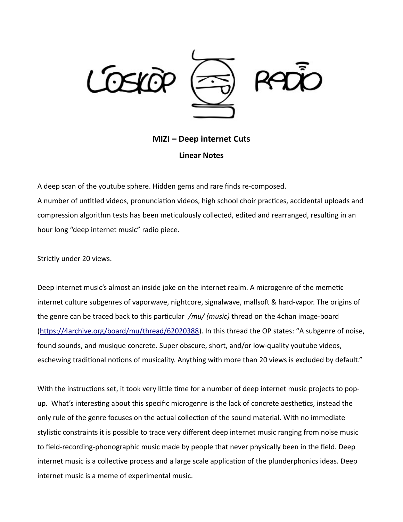

## **ΜΙΖΙ – Deep internet Cuts Linear Notes**

A deep scan of the youtube sphere. Hidden gems and rare finds re-composed.

A number of untitled videos, pronunciation videos, high school choir practices, accidental uploads and compression algorithm tests has been meticulously collected, edited and rearranged, resulting in an hour long "deep internet music" radio piece.

Strictly under 20 views.

Deep internet music's almost an inside joke on the internet realm. A microgenre of the memetic internet culture subgenres of vaporwave, nightcore, signalwave, mallsoft & hard-vapor. The origins of the genre can be traced back to this particular */mu/ (music)* thread on the 4chan image-board [\(https://4archive.org/board/mu/thread/62020388\)](https://4archive.org/board/mu/thread/62020388). In this thread the OP states: "A subgenre of noise, found sounds, and musique concrete. Super obscure, short, and/or low-quality youtube videos, eschewing traditional notions of musicality. Anything with more than 20 views is excluded by default."

With the instructions set, it took very little time for a number of deep internet music projects to popup. What's interesting about this specific microgenre is the lack of concrete aesthetics, instead the only rule of the genre focuses on the actual collection of the sound material. With no immediate stylistic constraints it is possible to trace very different deep internet music ranging from noise music to field-recording-phonographic music made by people that never physically been in the field. Deep internet music is a collective process and a large scale application of the plunderphonics ideas. Deep internet music is a meme of experimental music.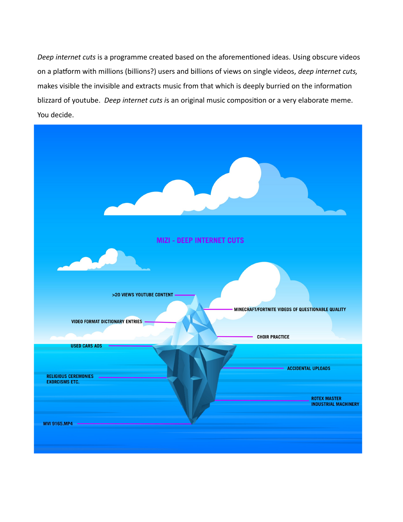*Deep internet cuts* is a programme created based on the aforementioned ideas. Using obscure videos on a platform with millions (billions?) users and billions of views on single videos, *deep internet cuts,*  makes visible the invisible and extracts music from that which is deeply burried on the information blizzard of youtube. *Deep internet cuts i*s an original music composition or a very elaborate meme. You decide.